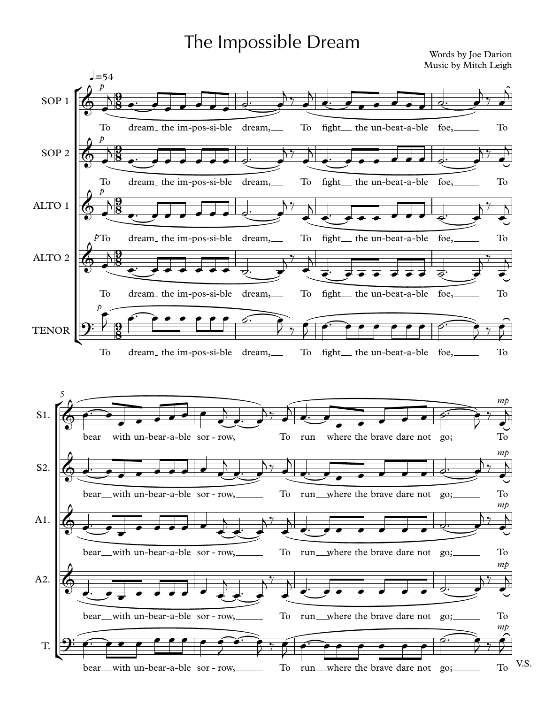## The Impossible Dream

Words by Joe Darion Music by Mitch Leigh

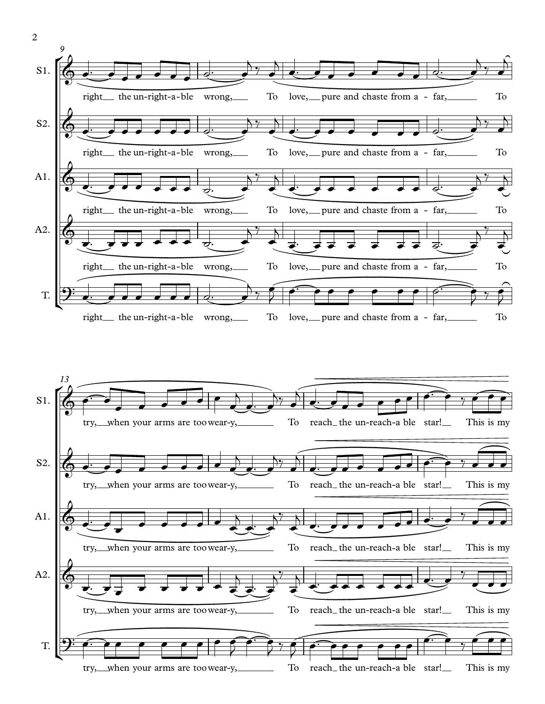

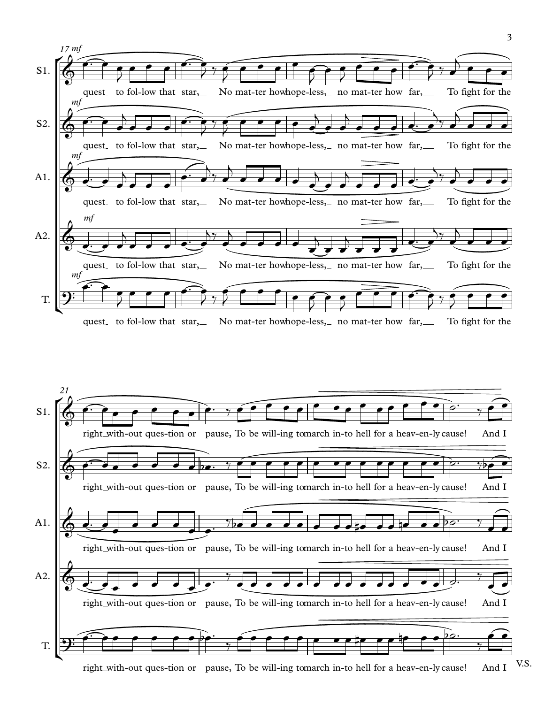



V.S. right with-out ques-tion or pause, To be will-ing tomarch in-to hell for a heav-en-ly cause! And I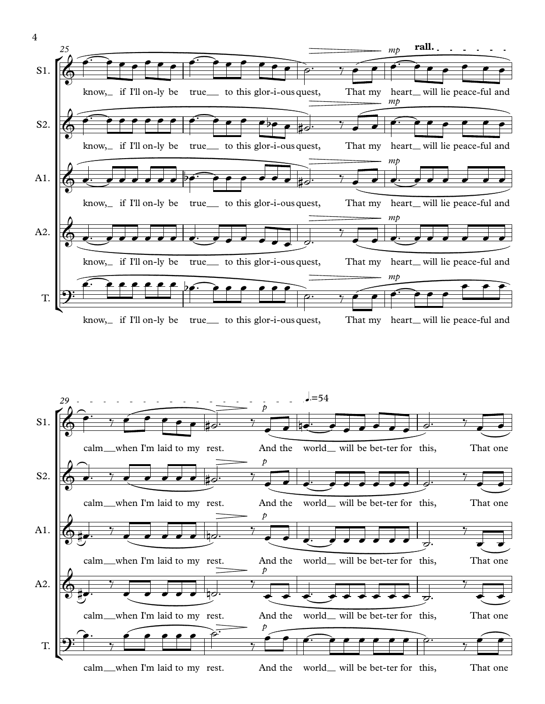